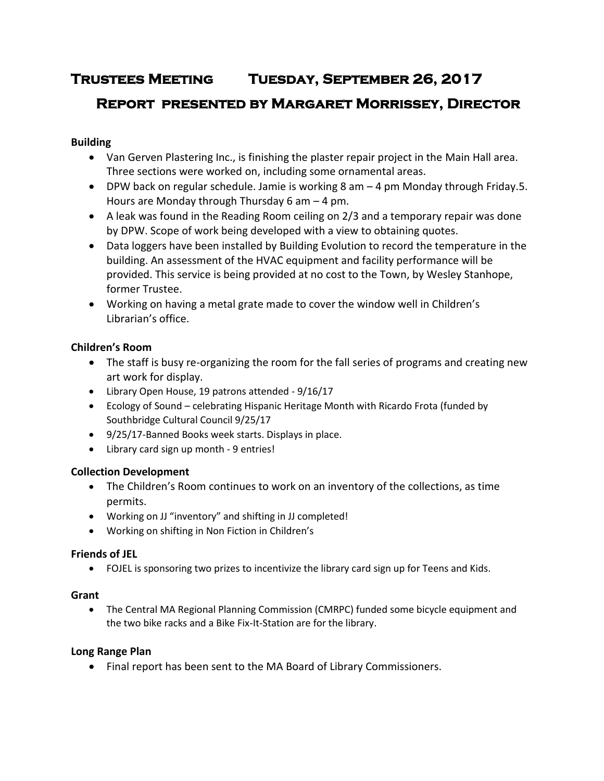# **Trustees Meeting Tuesday, September 26, 2017**

# **Report presented by Margaret Morrissey, Director**

# **Building**

- Van Gerven Plastering Inc., is finishing the plaster repair project in the Main Hall area. Three sections were worked on, including some ornamental areas.
- $\bullet$  DPW back on regular schedule. Jamie is working 8 am  $-$  4 pm Monday through Friday. 5. Hours are Monday through Thursday 6 am – 4 pm.
- A leak was found in the Reading Room ceiling on 2/3 and a temporary repair was done by DPW. Scope of work being developed with a view to obtaining quotes.
- Data loggers have been installed by Building Evolution to record the temperature in the building. An assessment of the HVAC equipment and facility performance will be provided. This service is being provided at no cost to the Town, by Wesley Stanhope, former Trustee.
- Working on having a metal grate made to cover the window well in Children's Librarian's office.

# **Children's Room**

- The staff is busy re-organizing the room for the fall series of programs and creating new art work for display.
- Library Open House, 19 patrons attended 9/16/17
- Ecology of Sound celebrating Hispanic Heritage Month with Ricardo Frota (funded by Southbridge Cultural Council 9/25/17
- 9/25/17-Banned Books week starts. Displays in place.
- Library card sign up month 9 entries!

# **Collection Development**

- The Children's Room continues to work on an inventory of the collections, as time permits.
- Working on JJ "inventory" and shifting in JJ completed!
- Working on shifting in Non Fiction in Children's

# **Friends of JEL**

FOJEL is sponsoring two prizes to incentivize the library card sign up for Teens and Kids.

# **Grant**

 The Central MA Regional Planning Commission (CMRPC) funded some bicycle equipment and the two bike racks and a Bike Fix-It-Station are for the library.

# **Long Range Plan**

Final report has been sent to the MA Board of Library Commissioners.